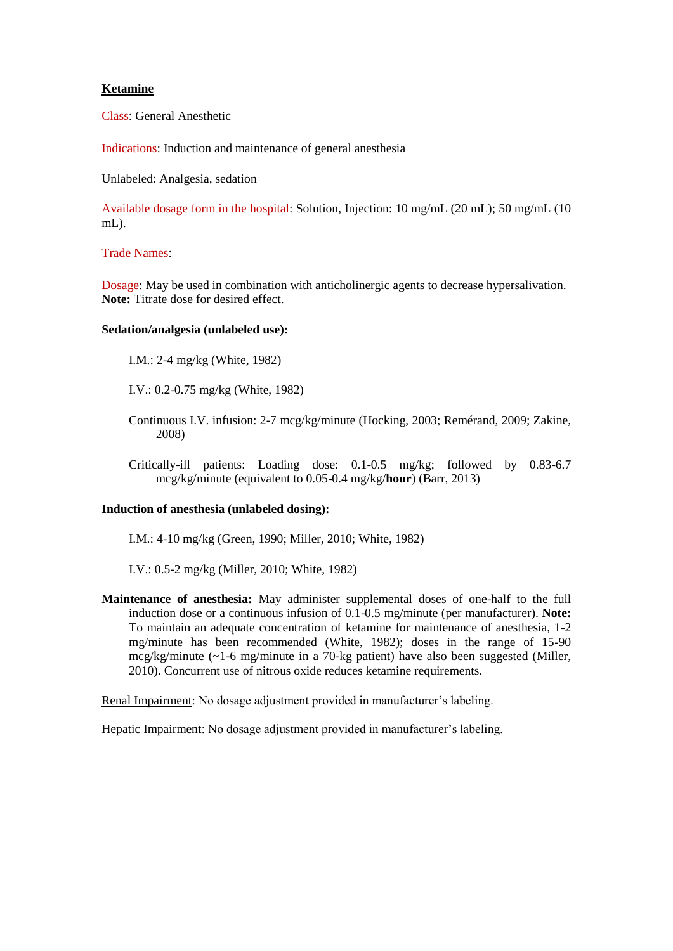## **Ketamine**

Class: General Anesthetic

Indications: Induction and maintenance of general anesthesia

Unlabeled: Analgesia, sedation

Available dosage form in the hospital: Solution, Injection: 10 mg/mL (20 mL); 50 mg/mL (10 mL).

## Trade Names:

Dosage: May be used in combination with anticholinergic agents to decrease hypersalivation. **Note:** Titrate dose for desired effect.

## **Sedation/analgesia (unlabeled use):**

I.M.: 2-4 mg/kg (White, 1982)

I.V.: 0.2-0.75 mg/kg (White, 1982)

- Continuous I.V. infusion: 2-7 mcg/kg/minute (Hocking, 2003; Remérand, 2009; Zakine, 2008)
- Critically-ill patients: Loading dose: 0.1-0.5 mg/kg; followed by 0.83-6.7 mcg/kg/minute (equivalent to 0.05-0.4 mg/kg/**hour**) (Barr, 2013)

## **Induction of anesthesia (unlabeled dosing):**

I.M.: 4-10 mg/kg (Green, 1990; Miller, 2010; White, 1982)

I.V.: 0.5-2 mg/kg (Miller, 2010; White, 1982)

**Maintenance of anesthesia:** May administer supplemental doses of one-half to the full induction dose or a continuous infusion of 0.1-0.5 mg/minute (per manufacturer). **Note:** To maintain an adequate concentration of ketamine for maintenance of anesthesia, 1-2 mg/minute has been recommended (White, 1982); doses in the range of 15-90 mcg/kg/minute (~1-6 mg/minute in a 70-kg patient) have also been suggested (Miller, 2010). Concurrent use of nitrous oxide reduces ketamine requirements.

Renal Impairment: No dosage adjustment provided in manufacturer's labeling.

Hepatic Impairment: No dosage adjustment provided in manufacturer's labeling.